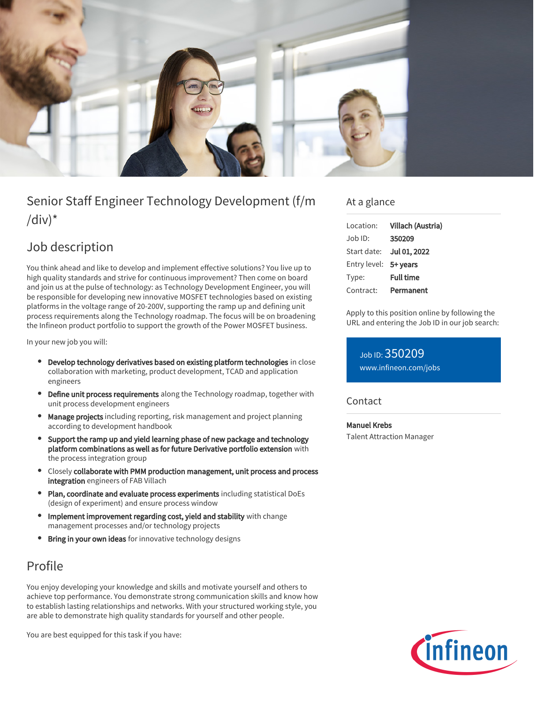

# Senior Staff Engineer Technology Development (f/m  $\frac{1}{d}$

## Job description

You think ahead and like to develop and implement effective solutions? You live up to high quality standards and strive for continuous improvement? Then come on board and join us at the pulse of technology: as Technology Development Engineer, you will be responsible for developing new innovative MOSFET technologies based on existing platforms in the voltage range of 20-200V, supporting the ramp up and defining unit process requirements along the Technology roadmap. The focus will be on broadening the Infineon product portfolio to support the growth of the Power MOSFET business.

In your new job you will:

- Develop technology derivatives based on existing platform technologies in close collaboration with marketing, product development, TCAD and application engineers
- Define unit process requirements along the Technology roadmap, together with unit process development engineers
- Manage projects including reporting, risk management and project planning according to development handbook
- Support the ramp up and yield learning phase of new package and technology platform combinations as well as for future Derivative portfolio extension with the process integration group
- Closely collaborate with PMM production management, unit process and process integration engineers of FAB Villach
- Plan, coordinate and evaluate process experiments including statistical DoEs (design of experiment) and ensure process window
- Implement improvement regarding cost, yield and stability with change management processes and/or technology projects
- Bring in your own ideas for innovative technology designs

### Profile

You enjoy developing your knowledge and skills and motivate yourself and others to achieve top performance. You demonstrate strong communication skills and know how to establish lasting relationships and networks. With your structured working style, you are able to demonstrate high quality standards for yourself and other people.

You are best equipped for this task if you have:

### At a glance

| Location:    | Villach (Austria) |
|--------------|-------------------|
| Job ID:      | 350209            |
| Start date:  | Jul 01, 2022      |
| Entry level: | 5+ vears          |
| Type:        | <b>Full time</b>  |
| Contract:    | Permanent         |

Apply to this position online by following the URL and entering the Job ID in our job search:

Job ID: 350209 [www.infineon.com/jobs](https://www.infineon.com/jobs)

#### **Contact**

Manuel Krebs

Talent Attraction Manager

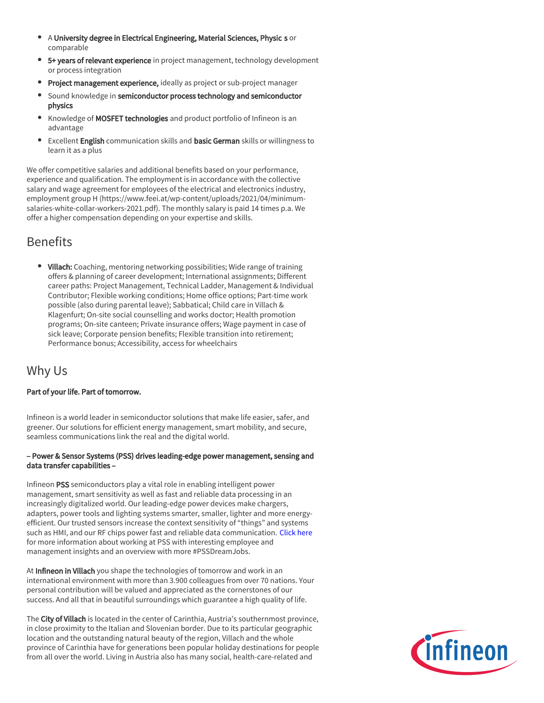- A University degree in Electrical Engineering, Material Sciences, Physic s or comparable
- 5+ years of relevant experience in project management, technology development or process integration
- **Project management experience, ideally as project or sub-project manager**
- Sound knowledge in semiconductor process technology and semiconductor physics
- Knowledge of MOSFET technologies and product portfolio of Infineon is an advantage
- Excellent English communication skills and basic German skills or willingness to learn it as a plus

We offer competitive salaries and additional benefits based on your performance, experience and qualification. The employment is in accordance with the collective salary and wage agreement for employees of the electrical and electronics industry, employment group H (https://www.feei.at/wp-content/uploads/2021/04/minimumsalaries-white-collar-workers-2021.pdf). The monthly salary is paid 14 times p.a. We offer a higher compensation depending on your expertise and skills.

## Benefits

• Villach: Coaching, mentoring networking possibilities; Wide range of training offers & planning of career development; International assignments; Different career paths: Project Management, Technical Ladder, Management & Individual Contributor; Flexible working conditions; Home office options; Part-time work possible (also during parental leave); Sabbatical; Child care in Villach & Klagenfurt; On-site social counselling and works doctor; Health promotion programs; On-site canteen; Private insurance offers; Wage payment in case of sick leave; Corporate pension benefits; Flexible transition into retirement; Performance bonus; Accessibility, access for wheelchairs

## Why Us

#### Part of your life. Part of tomorrow.

Infineon is a world leader in semiconductor solutions that make life easier, safer, and greener. Our solutions for efficient energy management, smart mobility, and secure, seamless communications link the real and the digital world.

#### – Power & Sensor Systems (PSS) drives leading-edge power management, sensing and data transfer capabilities –

Infineon PSS semiconductors play a vital role in enabling intelligent power management, smart sensitivity as well as fast and reliable data processing in an increasingly digitalized world. Our leading-edge power devices make chargers, adapters, power tools and lighting systems smarter, smaller, lighter and more energyefficient. Our trusted sensors increase the context sensitivity of "things" and systems such as HMI, and our RF chips power fast and reliable data communication. [Click here](https://www.infineon.com/cms/en/careers/working-at-infineon/PSSDreamJob/) for more information about working at PSS with interesting employee and management insights and an overview with more #PSSDreamJobs.

At Infineon in Villach you shape the technologies of tomorrow and work in an international environment with more than 3.900 colleagues from over 70 nations. Your personal contribution will be valued and appreciated as the cornerstones of our success. And all that in beautiful surroundings which guarantee a high quality of life.

The City of Villach is located in the center of Carinthia, Austria's southernmost province, in close proximity to the Italian and Slovenian border. Due to its particular geographic location and the outstanding natural beauty of the region, Villach and the whole province of Carinthia have for generations been popular holiday destinations for people from all over the world. Living in Austria also has many social, health-care-related and